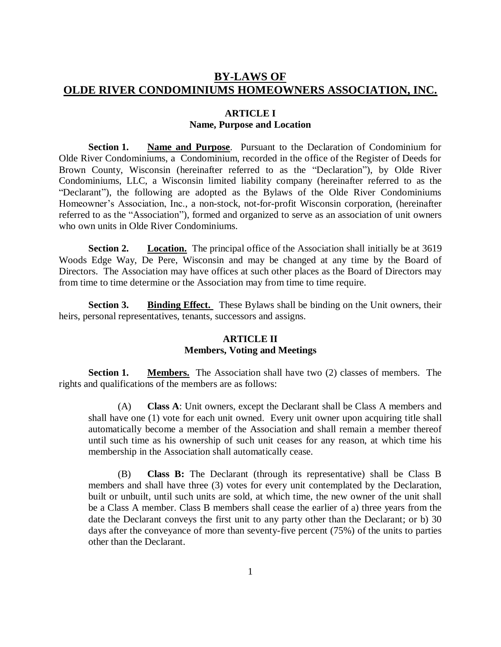# **BY-LAWS OF OLDE RIVER CONDOMINIUMS HOMEOWNERS ASSOCIATION, INC.**

## **ARTICLE I Name, Purpose and Location**

**Section 1. Name and Purpose**. Pursuant to the Declaration of Condominium for Olde River Condominiums, a Condominium, recorded in the office of the Register of Deeds for Brown County, Wisconsin (hereinafter referred to as the "Declaration"), by Olde River Condominiums, LLC, a Wisconsin limited liability company (hereinafter referred to as the "Declarant"), the following are adopted as the Bylaws of the Olde River Condominiums Homeowner's Association, Inc., a non-stock, not-for-profit Wisconsin corporation, (hereinafter referred to as the "Association"), formed and organized to serve as an association of unit owners who own units in Olde River Condominiums.

**Section 2. Location.** The principal office of the Association shall initially be at 3619 Woods Edge Way, De Pere, Wisconsin and may be changed at any time by the Board of Directors. The Association may have offices at such other places as the Board of Directors may from time to time determine or the Association may from time to time require.

**Section 3. Binding Effect.** These Bylaws shall be binding on the Unit owners, their heirs, personal representatives, tenants, successors and assigns.

#### **ARTICLE II Members, Voting and Meetings**

**Section 1. Members.** The Association shall have two (2) classes of members. The rights and qualifications of the members are as follows:

(A) **Class A**: Unit owners, except the Declarant shall be Class A members and shall have one (1) vote for each unit owned. Every unit owner upon acquiring title shall automatically become a member of the Association and shall remain a member thereof until such time as his ownership of such unit ceases for any reason, at which time his membership in the Association shall automatically cease.

(B) **Class B:** The Declarant (through its representative) shall be Class B members and shall have three (3) votes for every unit contemplated by the Declaration, built or unbuilt, until such units are sold, at which time, the new owner of the unit shall be a Class A member. Class B members shall cease the earlier of a) three years from the date the Declarant conveys the first unit to any party other than the Declarant; or b) 30 days after the conveyance of more than seventy-five percent (75%) of the units to parties other than the Declarant.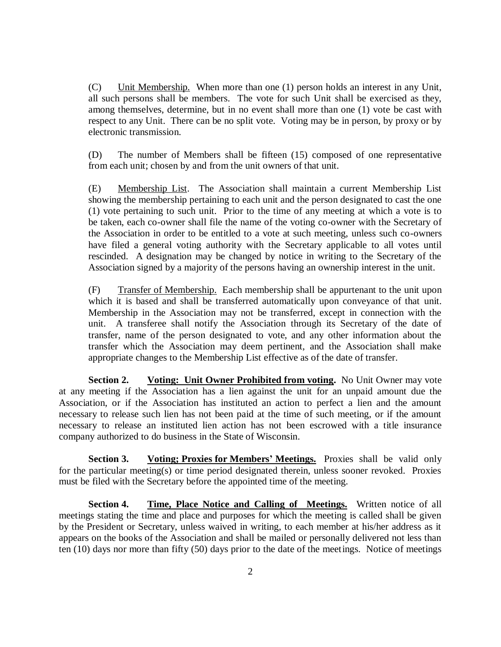(C) Unit Membership. When more than one (1) person holds an interest in any Unit, all such persons shall be members. The vote for such Unit shall be exercised as they, among themselves, determine, but in no event shall more than one (1) vote be cast with respect to any Unit. There can be no split vote. Voting may be in person, by proxy or by electronic transmission.

(D) The number of Members shall be fifteen (15) composed of one representative from each unit; chosen by and from the unit owners of that unit.

(E) Membership List. The Association shall maintain a current Membership List showing the membership pertaining to each unit and the person designated to cast the one (1) vote pertaining to such unit. Prior to the time of any meeting at which a vote is to be taken, each co-owner shall file the name of the voting co-owner with the Secretary of the Association in order to be entitled to a vote at such meeting, unless such co-owners have filed a general voting authority with the Secretary applicable to all votes until rescinded. A designation may be changed by notice in writing to the Secretary of the Association signed by a majority of the persons having an ownership interest in the unit.

(F) Transfer of Membership. Each membership shall be appurtenant to the unit upon which it is based and shall be transferred automatically upon conveyance of that unit. Membership in the Association may not be transferred, except in connection with the unit. A transferee shall notify the Association through its Secretary of the date of transfer, name of the person designated to vote, and any other information about the transfer which the Association may deem pertinent, and the Association shall make appropriate changes to the Membership List effective as of the date of transfer.

**Section 2. Voting: Unit Owner Prohibited from voting.** No Unit Owner may vote at any meeting if the Association has a lien against the unit for an unpaid amount due the Association, or if the Association has instituted an action to perfect a lien and the amount necessary to release such lien has not been paid at the time of such meeting, or if the amount necessary to release an instituted lien action has not been escrowed with a title insurance company authorized to do business in the State of Wisconsin.

**Section 3. Voting; Proxies for Members' Meetings.** Proxies shall be valid only for the particular meeting(s) or time period designated therein, unless sooner revoked. Proxies must be filed with the Secretary before the appointed time of the meeting.

**Section 4. Time, Place Notice and Calling of Meetings.** Written notice of all meetings stating the time and place and purposes for which the meeting is called shall be given by the President or Secretary, unless waived in writing, to each member at his/her address as it appears on the books of the Association and shall be mailed or personally delivered not less than ten (10) days nor more than fifty (50) days prior to the date of the meetings. Notice of meetings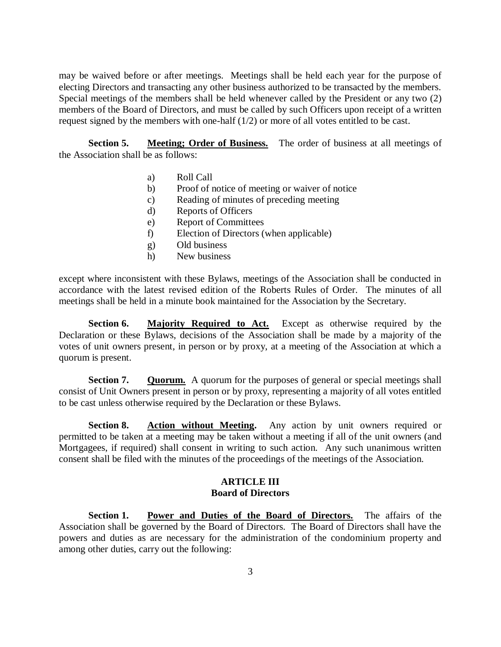may be waived before or after meetings. Meetings shall be held each year for the purpose of electing Directors and transacting any other business authorized to be transacted by the members. Special meetings of the members shall be held whenever called by the President or any two (2) members of the Board of Directors, and must be called by such Officers upon receipt of a written request signed by the members with one-half (1/2) or more of all votes entitled to be cast.

**Section 5. Meeting; Order of Business.** The order of business at all meetings of the Association shall be as follows:

- a) Roll Call
- b) Proof of notice of meeting or waiver of notice
- c) Reading of minutes of preceding meeting
- d) Reports of Officers
- e) Report of Committees
- f) Election of Directors (when applicable)
- g) Old business
- h) New business

except where inconsistent with these Bylaws, meetings of the Association shall be conducted in accordance with the latest revised edition of the Roberts Rules of Order. The minutes of all meetings shall be held in a minute book maintained for the Association by the Secretary.

**Section 6. Majority Required to Act.** Except as otherwise required by the Declaration or these Bylaws, decisions of the Association shall be made by a majority of the votes of unit owners present, in person or by proxy, at a meeting of the Association at which a quorum is present.

**Section 7. Quorum.** A quorum for the purposes of general or special meetings shall consist of Unit Owners present in person or by proxy, representing a majority of all votes entitled to be cast unless otherwise required by the Declaration or these Bylaws.

**Section 8. Action without Meeting.** Any action by unit owners required or permitted to be taken at a meeting may be taken without a meeting if all of the unit owners (and Mortgagees, if required) shall consent in writing to such action. Any such unanimous written consent shall be filed with the minutes of the proceedings of the meetings of the Association.

## **ARTICLE III Board of Directors**

**Section 1. Power and Duties of the Board of Directors.** The affairs of the Association shall be governed by the Board of Directors. The Board of Directors shall have the powers and duties as are necessary for the administration of the condominium property and among other duties, carry out the following: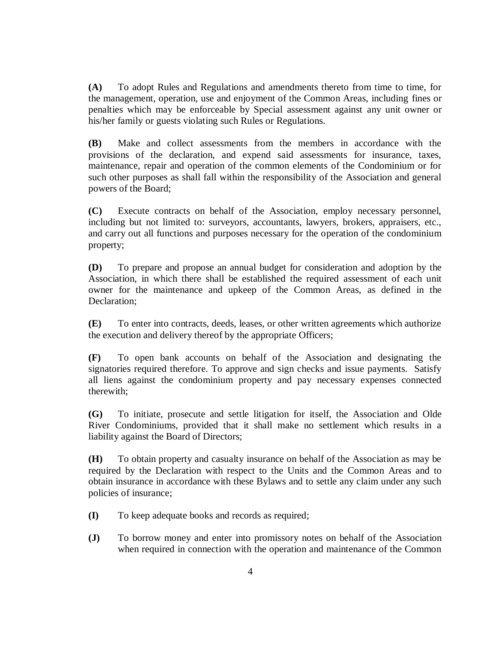**(A)** To adopt Rules and Regulations and amendments thereto from time to time, for the management, operation, use and enjoyment of the Common Areas, including fines or penalties which may be enforceable by Special assessment against any unit owner or his/her family or guests violating such Rules or Regulations.

**(B)** Make and collect assessments from the members in accordance with the provisions of the declaration, and expend said assessments for insurance, taxes, maintenance, repair and operation of the common elements of the Condominium or for such other purposes as shall fall within the responsibility of the Association and general powers of the Board;

**(C)** Execute contracts on behalf of the Association, employ necessary personnel, including but not limited to: surveyors, accountants, lawyers, brokers, appraisers, etc., and carry out all functions and purposes necessary for the operation of the condominium property;

**(D)** To prepare and propose an annual budget for consideration and adoption by the Association, in which there shall be established the required assessment of each unit owner for the maintenance and upkeep of the Common Areas, as defined in the Declaration;

**(E)** To enter into contracts, deeds, leases, or other written agreements which authorize the execution and delivery thereof by the appropriate Officers;

**(F)** To open bank accounts on behalf of the Association and designating the signatories required therefore. To approve and sign checks and issue payments. Satisfy all liens against the condominium property and pay necessary expenses connected therewith;

**(G)** To initiate, prosecute and settle litigation for itself, the Association and Olde River Condominiums, provided that it shall make no settlement which results in a liability against the Board of Directors;

**(H)** To obtain property and casualty insurance on behalf of the Association as may be required by the Declaration with respect to the Units and the Common Areas and to obtain insurance in accordance with these Bylaws and to settle any claim under any such policies of insurance;

- **(I)** To keep adequate books and records as required;
- **(J)** To borrow money and enter into promissory notes on behalf of the Association when required in connection with the operation and maintenance of the Common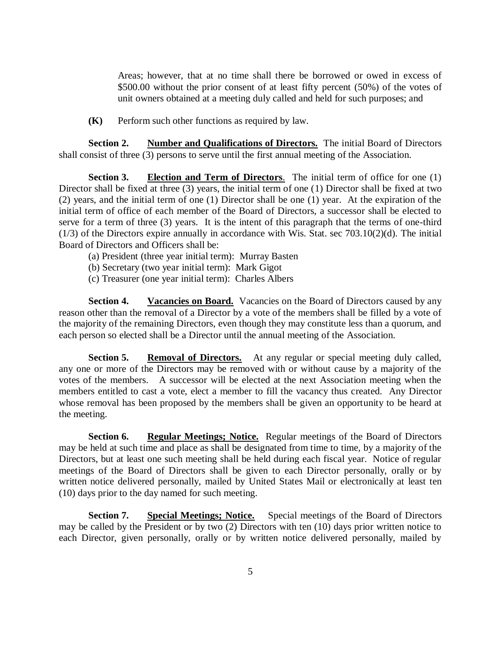Areas; however, that at no time shall there be borrowed or owed in excess of \$500.00 without the prior consent of at least fifty percent (50%) of the votes of unit owners obtained at a meeting duly called and held for such purposes; and

**(K)** Perform such other functions as required by law.

**Section 2. Number and Qualifications of Directors.** The initial Board of Directors shall consist of three (3) persons to serve until the first annual meeting of the Association.

**Section 3. Election and Term of Directors**. The initial term of office for one (1) Director shall be fixed at three (3) years, the initial term of one (1) Director shall be fixed at two (2) years, and the initial term of one (1) Director shall be one (1) year. At the expiration of the initial term of office of each member of the Board of Directors, a successor shall be elected to serve for a term of three (3) years. It is the intent of this paragraph that the terms of one-third (1/3) of the Directors expire annually in accordance with Wis. Stat. sec 703.10(2)(d). The initial Board of Directors and Officers shall be:

- (a) President (three year initial term): Murray Basten
- (b) Secretary (two year initial term): Mark Gigot
- (c) Treasurer (one year initial term): Charles Albers

**Section 4. Vacancies on Board.** Vacancies on the Board of Directors caused by any reason other than the removal of a Director by a vote of the members shall be filled by a vote of the majority of the remaining Directors, even though they may constitute less than a quorum, and each person so elected shall be a Director until the annual meeting of the Association.

**Section 5. Removal of Directors.** At any regular or special meeting duly called, any one or more of the Directors may be removed with or without cause by a majority of the votes of the members. A successor will be elected at the next Association meeting when the members entitled to cast a vote, elect a member to fill the vacancy thus created. Any Director whose removal has been proposed by the members shall be given an opportunity to be heard at the meeting.

**Section 6. Regular Meetings; Notice.** Regular meetings of the Board of Directors may be held at such time and place as shall be designated from time to time, by a majority of the Directors, but at least one such meeting shall be held during each fiscal year. Notice of regular meetings of the Board of Directors shall be given to each Director personally, orally or by written notice delivered personally, mailed by United States Mail or electronically at least ten (10) days prior to the day named for such meeting.

**Section 7. Special Meetings; Notice.** Special meetings of the Board of Directors may be called by the President or by two (2) Directors with ten (10) days prior written notice to each Director, given personally, orally or by written notice delivered personally, mailed by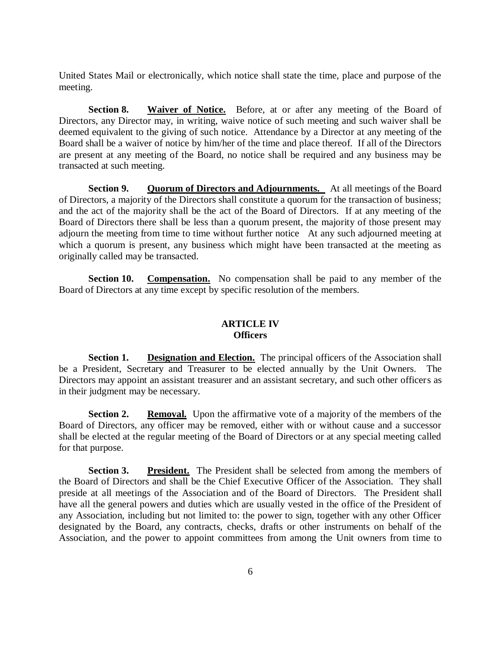United States Mail or electronically, which notice shall state the time, place and purpose of the meeting.

**Section 8. Waiver of Notice.** Before, at or after any meeting of the Board of Directors, any Director may, in writing, waive notice of such meeting and such waiver shall be deemed equivalent to the giving of such notice. Attendance by a Director at any meeting of the Board shall be a waiver of notice by him/her of the time and place thereof. If all of the Directors are present at any meeting of the Board, no notice shall be required and any business may be transacted at such meeting.

**Section 9. Quorum of Directors and Adjournments.** At all meetings of the Board of Directors, a majority of the Directors shall constitute a quorum for the transaction of business; and the act of the majority shall be the act of the Board of Directors. If at any meeting of the Board of Directors there shall be less than a quorum present, the majority of those present may adjourn the meeting from time to time without further notice At any such adjourned meeting at which a quorum is present, any business which might have been transacted at the meeting as originally called may be transacted.

**Section 10. Compensation.** No compensation shall be paid to any member of the Board of Directors at any time except by specific resolution of the members.

### **ARTICLE IV Officers**

**Section 1. Designation and Election.** The principal officers of the Association shall be a President, Secretary and Treasurer to be elected annually by the Unit Owners. The Directors may appoint an assistant treasurer and an assistant secretary, and such other officers as in their judgment may be necessary.

**Section 2. Removal.** Upon the affirmative vote of a majority of the members of the Board of Directors, any officer may be removed, either with or without cause and a successor shall be elected at the regular meeting of the Board of Directors or at any special meeting called for that purpose.

**Section 3. President.** The President shall be selected from among the members of the Board of Directors and shall be the Chief Executive Officer of the Association. They shall preside at all meetings of the Association and of the Board of Directors. The President shall have all the general powers and duties which are usually vested in the office of the President of any Association, including but not limited to: the power to sign, together with any other Officer designated by the Board, any contracts, checks, drafts or other instruments on behalf of the Association, and the power to appoint committees from among the Unit owners from time to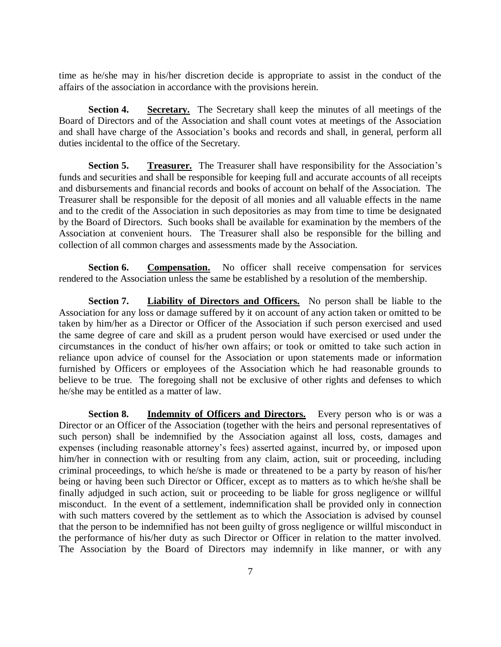time as he/she may in his/her discretion decide is appropriate to assist in the conduct of the affairs of the association in accordance with the provisions herein.

**Section 4. Secretary.** The Secretary shall keep the minutes of all meetings of the Board of Directors and of the Association and shall count votes at meetings of the Association and shall have charge of the Association's books and records and shall, in general, perform all duties incidental to the office of the Secretary.

**Section 5. Treasurer.** The Treasurer shall have responsibility for the Association's funds and securities and shall be responsible for keeping full and accurate accounts of all receipts and disbursements and financial records and books of account on behalf of the Association. The Treasurer shall be responsible for the deposit of all monies and all valuable effects in the name and to the credit of the Association in such depositories as may from time to time be designated by the Board of Directors. Such books shall be available for examination by the members of the Association at convenient hours. The Treasurer shall also be responsible for the billing and collection of all common charges and assessments made by the Association.

**Section 6. Compensation.** No officer shall receive compensation for services rendered to the Association unless the same be established by a resolution of the membership.

**Section 7. Liability of Directors and Officers.** No person shall be liable to the Association for any loss or damage suffered by it on account of any action taken or omitted to be taken by him/her as a Director or Officer of the Association if such person exercised and used the same degree of care and skill as a prudent person would have exercised or used under the circumstances in the conduct of his/her own affairs; or took or omitted to take such action in reliance upon advice of counsel for the Association or upon statements made or information furnished by Officers or employees of the Association which he had reasonable grounds to believe to be true. The foregoing shall not be exclusive of other rights and defenses to which he/she may be entitled as a matter of law.

**Section 8. Indemnity of Officers and Directors.** Every person who is or was a Director or an Officer of the Association (together with the heirs and personal representatives of such person) shall be indemnified by the Association against all loss, costs, damages and expenses (including reasonable attorney's fees) asserted against, incurred by, or imposed upon him/her in connection with or resulting from any claim, action, suit or proceeding, including criminal proceedings, to which he/she is made or threatened to be a party by reason of his/her being or having been such Director or Officer, except as to matters as to which he/she shall be finally adjudged in such action, suit or proceeding to be liable for gross negligence or willful misconduct. In the event of a settlement, indemnification shall be provided only in connection with such matters covered by the settlement as to which the Association is advised by counsel that the person to be indemnified has not been guilty of gross negligence or willful misconduct in the performance of his/her duty as such Director or Officer in relation to the matter involved. The Association by the Board of Directors may indemnify in like manner, or with any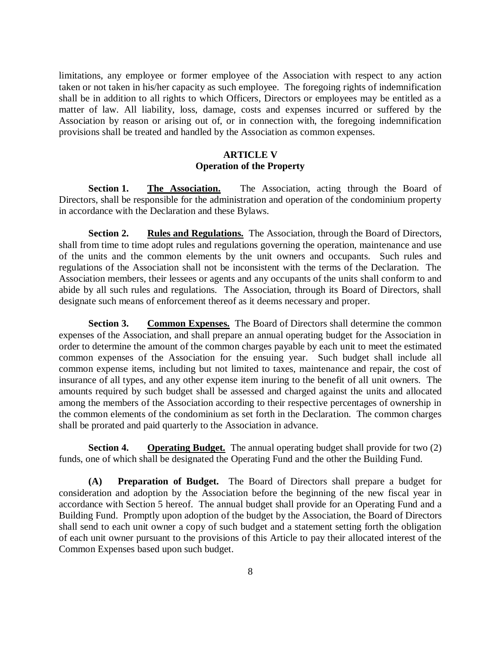limitations, any employee or former employee of the Association with respect to any action taken or not taken in his/her capacity as such employee. The foregoing rights of indemnification shall be in addition to all rights to which Officers, Directors or employees may be entitled as a matter of law. All liability, loss, damage, costs and expenses incurred or suffered by the Association by reason or arising out of, or in connection with, the foregoing indemnification provisions shall be treated and handled by the Association as common expenses.

#### **ARTICLE V Operation of the Property**

Section 1. The Association. The Association, acting through the Board of Directors, shall be responsible for the administration and operation of the condominium property in accordance with the Declaration and these Bylaws.

**Section 2. Rules and Regulations.** The Association, through the Board of Directors, shall from time to time adopt rules and regulations governing the operation, maintenance and use of the units and the common elements by the unit owners and occupants. Such rules and regulations of the Association shall not be inconsistent with the terms of the Declaration. The Association members, their lessees or agents and any occupants of the units shall conform to and abide by all such rules and regulations. The Association, through its Board of Directors, shall designate such means of enforcement thereof as it deems necessary and proper.

**Section 3. Common Expenses.** The Board of Directors shall determine the common expenses of the Association, and shall prepare an annual operating budget for the Association in order to determine the amount of the common charges payable by each unit to meet the estimated common expenses of the Association for the ensuing year. Such budget shall include all common expense items, including but not limited to taxes, maintenance and repair, the cost of insurance of all types, and any other expense item inuring to the benefit of all unit owners. The amounts required by such budget shall be assessed and charged against the units and allocated among the members of the Association according to their respective percentages of ownership in the common elements of the condominium as set forth in the Declaration. The common charges shall be prorated and paid quarterly to the Association in advance.

**Section 4. Operating Budget.** The annual operating budget shall provide for two (2) funds, one of which shall be designated the Operating Fund and the other the Building Fund.

**(A) Preparation of Budget.** The Board of Directors shall prepare a budget for consideration and adoption by the Association before the beginning of the new fiscal year in accordance with Section 5 hereof. The annual budget shall provide for an Operating Fund and a Building Fund. Promptly upon adoption of the budget by the Association, the Board of Directors shall send to each unit owner a copy of such budget and a statement setting forth the obligation of each unit owner pursuant to the provisions of this Article to pay their allocated interest of the Common Expenses based upon such budget.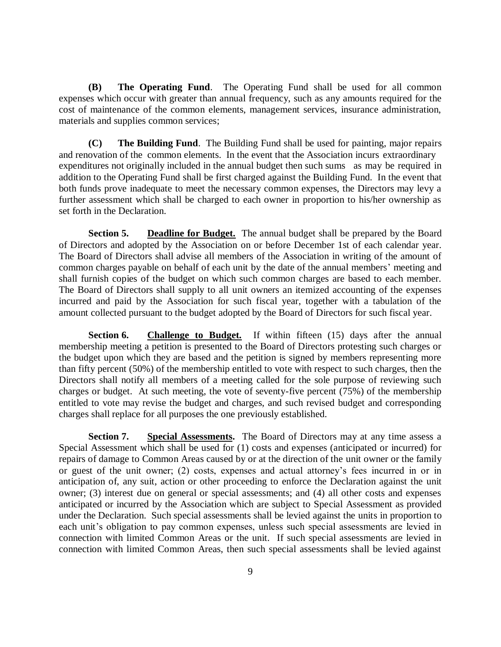**(B) The Operating Fund**. The Operating Fund shall be used for all common expenses which occur with greater than annual frequency, such as any amounts required for the cost of maintenance of the common elements, management services, insurance administration, materials and supplies common services;

**(C) The Building Fund**. The Building Fund shall be used for painting, major repairs and renovation of the common elements. In the event that the Association incurs extraordinary expenditures not originally included in the annual budget then such sums as may be required in addition to the Operating Fund shall be first charged against the Building Fund. In the event that both funds prove inadequate to meet the necessary common expenses, the Directors may levy a further assessment which shall be charged to each owner in proportion to his/her ownership as set forth in the Declaration.

**Section 5. Deadline for Budget.** The annual budget shall be prepared by the Board of Directors and adopted by the Association on or before December 1st of each calendar year. The Board of Directors shall advise all members of the Association in writing of the amount of common charges payable on behalf of each unit by the date of the annual members' meeting and shall furnish copies of the budget on which such common charges are based to each member. The Board of Directors shall supply to all unit owners an itemized accounting of the expenses incurred and paid by the Association for such fiscal year, together with a tabulation of the amount collected pursuant to the budget adopted by the Board of Directors for such fiscal year.

**Section 6. Challenge to Budget.** If within fifteen (15) days after the annual membership meeting a petition is presented to the Board of Directors protesting such charges or the budget upon which they are based and the petition is signed by members representing more than fifty percent (50%) of the membership entitled to vote with respect to such charges, then the Directors shall notify all members of a meeting called for the sole purpose of reviewing such charges or budget. At such meeting, the vote of seventy-five percent (75%) of the membership entitled to vote may revise the budget and charges, and such revised budget and corresponding charges shall replace for all purposes the one previously established.

**Section 7. Special Assessments.** The Board of Directors may at any time assess a Special Assessment which shall be used for (1) costs and expenses (anticipated or incurred) for repairs of damage to Common Areas caused by or at the direction of the unit owner or the family or guest of the unit owner; (2) costs, expenses and actual attorney's fees incurred in or in anticipation of, any suit, action or other proceeding to enforce the Declaration against the unit owner; (3) interest due on general or special assessments; and (4) all other costs and expenses anticipated or incurred by the Association which are subject to Special Assessment as provided under the Declaration. Such special assessments shall be levied against the units in proportion to each unit's obligation to pay common expenses, unless such special assessments are levied in connection with limited Common Areas or the unit. If such special assessments are levied in connection with limited Common Areas, then such special assessments shall be levied against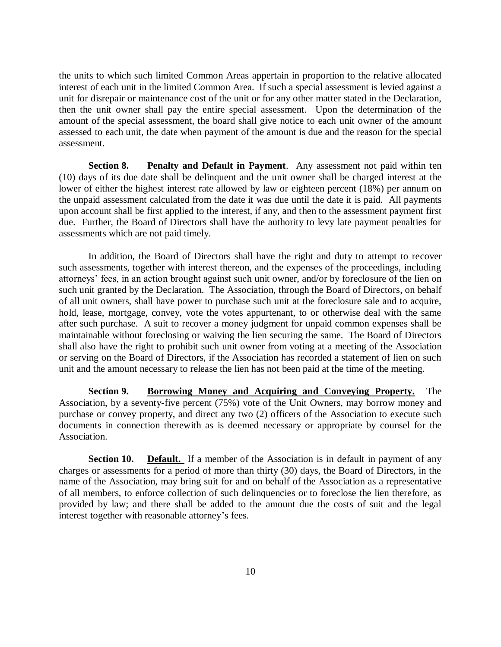the units to which such limited Common Areas appertain in proportion to the relative allocated interest of each unit in the limited Common Area. If such a special assessment is levied against a unit for disrepair or maintenance cost of the unit or for any other matter stated in the Declaration, then the unit owner shall pay the entire special assessment. Upon the determination of the amount of the special assessment, the board shall give notice to each unit owner of the amount assessed to each unit, the date when payment of the amount is due and the reason for the special assessment.

**Section 8. Penalty and Default in Payment**. Any assessment not paid within ten (10) days of its due date shall be delinquent and the unit owner shall be charged interest at the lower of either the highest interest rate allowed by law or eighteen percent (18%) per annum on the unpaid assessment calculated from the date it was due until the date it is paid. All payments upon account shall be first applied to the interest, if any, and then to the assessment payment first due. Further, the Board of Directors shall have the authority to levy late payment penalties for assessments which are not paid timely.

In addition, the Board of Directors shall have the right and duty to attempt to recover such assessments, together with interest thereon, and the expenses of the proceedings, including attorneys' fees, in an action brought against such unit owner, and/or by foreclosure of the lien on such unit granted by the Declaration. The Association, through the Board of Directors, on behalf of all unit owners, shall have power to purchase such unit at the foreclosure sale and to acquire, hold, lease, mortgage, convey, vote the votes appurtenant, to or otherwise deal with the same after such purchase. A suit to recover a money judgment for unpaid common expenses shall be maintainable without foreclosing or waiving the lien securing the same. The Board of Directors shall also have the right to prohibit such unit owner from voting at a meeting of the Association or serving on the Board of Directors, if the Association has recorded a statement of lien on such unit and the amount necessary to release the lien has not been paid at the time of the meeting.

**Section 9. Borrowing Money and Acquiring and Conveying Property.** The Association, by a seventy-five percent (75%) vote of the Unit Owners, may borrow money and purchase or convey property, and direct any two (2) officers of the Association to execute such documents in connection therewith as is deemed necessary or appropriate by counsel for the Association.

**Section 10. Default.** If a member of the Association is in default in payment of any charges or assessments for a period of more than thirty (30) days, the Board of Directors, in the name of the Association, may bring suit for and on behalf of the Association as a representative of all members, to enforce collection of such delinquencies or to foreclose the lien therefore, as provided by law; and there shall be added to the amount due the costs of suit and the legal interest together with reasonable attorney's fees.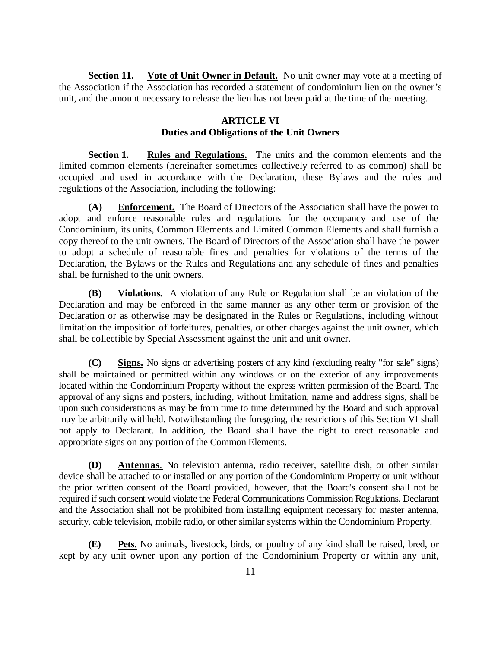**Section 11.** Vote of Unit Owner in Default. No unit owner may vote at a meeting of the Association if the Association has recorded a statement of condominium lien on the owner's unit, and the amount necessary to release the lien has not been paid at the time of the meeting.

#### **ARTICLE VI Duties and Obligations of the Unit Owners**

**Section 1. Rules and Regulations.** The units and the common elements and the limited common elements (hereinafter sometimes collectively referred to as common) shall be occupied and used in accordance with the Declaration, these Bylaws and the rules and regulations of the Association, including the following:

**(A) Enforcement.** The Board of Directors of the Association shall have the power to adopt and enforce reasonable rules and regulations for the occupancy and use of the Condominium, its units, Common Elements and Limited Common Elements and shall furnish a copy thereof to the unit owners. The Board of Directors of the Association shall have the power to adopt a schedule of reasonable fines and penalties for violations of the terms of the Declaration, the Bylaws or the Rules and Regulations and any schedule of fines and penalties shall be furnished to the unit owners.

**(B) Violations.** A violation of any Rule or Regulation shall be an violation of the Declaration and may be enforced in the same manner as any other term or provision of the Declaration or as otherwise may be designated in the Rules or Regulations, including without limitation the imposition of forfeitures, penalties, or other charges against the unit owner, which shall be collectible by Special Assessment against the unit and unit owner.

**(C) Signs.** No signs or advertising posters of any kind (excluding realty "for sale" signs) shall be maintained or permitted within any windows or on the exterior of any improvements located within the Condominium Property without the express written permission of the Board. The approval of any signs and posters, including, without limitation, name and address signs, shall be upon such considerations as may be from time to time determined by the Board and such approval may be arbitrarily withheld. Notwithstanding the foregoing, the restrictions of this Section VI shall not apply to Declarant. In addition, the Board shall have the right to erect reasonable and appropriate signs on any portion of the Common Elements.

**(D) Antennas**. No television antenna, radio receiver, satellite dish, or other similar device shall be attached to or installed on any portion of the Condominium Property or unit without the prior written consent of the Board provided, however, that the Board's consent shall not be required if such consent would violate the Federal Communications Commission Regulations. Declarant and the Association shall not be prohibited from installing equipment necessary for master antenna, security, cable television, mobile radio, or other similar systems within the Condominium Property.

**(E) Pets.** No animals, livestock, birds, or poultry of any kind shall be raised, bred, or kept by any unit owner upon any portion of the Condominium Property or within any unit,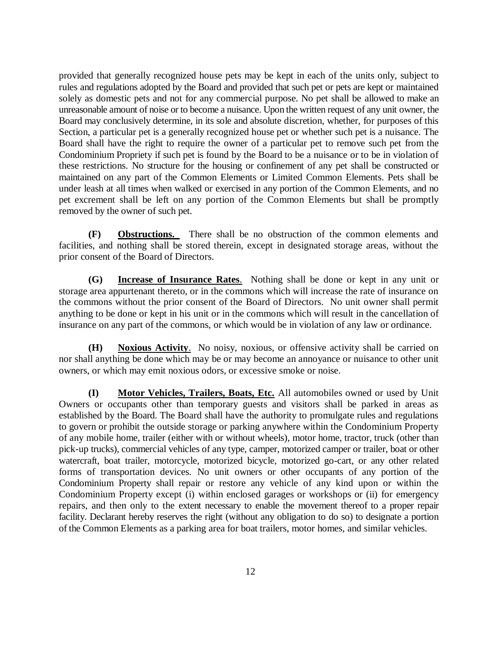provided that generally recognized house pets may be kept in each of the units only, subject to rules and regulations adopted by the Board and provided that such pet or pets are kept or maintained solely as domestic pets and not for any commercial purpose. No pet shall be allowed to make an unreasonable amount of noise or to become a nuisance. Upon the written request of any unit owner, the Board may conclusively determine, in its sole and absolute discretion, whether, for purposes of this Section, a particular pet is a generally recognized house pet or whether such pet is a nuisance. The Board shall have the right to require the owner of a particular pet to remove such pet from the Condominium Propriety if such pet is found by the Board to be a nuisance or to be in violation of these restrictions. No structure for the housing or confinement of any pet shall be constructed or maintained on any part of the Common Elements or Limited Common Elements. Pets shall be under leash at all times when walked or exercised in any portion of the Common Elements, and no pet excrement shall be left on any portion of the Common Elements but shall be promptly removed by the owner of such pet.

**(F) Obstructions.** There shall be no obstruction of the common elements and facilities, and nothing shall be stored therein, except in designated storage areas, without the prior consent of the Board of Directors.

**(G) Increase of Insurance Rates**. Nothing shall be done or kept in any unit or storage area appurtenant thereto, or in the commons which will increase the rate of insurance on the commons without the prior consent of the Board of Directors. No unit owner shall permit anything to be done or kept in his unit or in the commons which will result in the cancellation of insurance on any part of the commons, or which would be in violation of any law or ordinance.

**(H) Noxious Activity**. No noisy, noxious, or offensive activity shall be carried on nor shall anything be done which may be or may become an annoyance or nuisance to other unit owners, or which may emit noxious odors, or excessive smoke or noise.

**(I) Motor Vehicles, Trailers, Boats, Etc.** All automobiles owned or used by Unit Owners or occupants other than temporary guests and visitors shall be parked in areas as established by the Board. The Board shall have the authority to promulgate rules and regulations to govern or prohibit the outside storage or parking anywhere within the Condominium Property of any mobile home, trailer (either with or without wheels), motor home, tractor, truck (other than pick-up trucks), commercial vehicles of any type, camper, motorized camper or trailer, boat or other watercraft, boat trailer, motorcycle, motorized bicycle, motorized go-cart, or any other related forms of transportation devices. No unit owners or other occupants of any portion of the Condominium Property shall repair or restore any vehicle of any kind upon or within the Condominium Property except (i) within enclosed garages or workshops or (ii) for emergency repairs, and then only to the extent necessary to enable the movement thereof to a proper repair facility. Declarant hereby reserves the right (without any obligation to do so) to designate a portion of the Common Elements as a parking area for boat trailers, motor homes, and similar vehicles.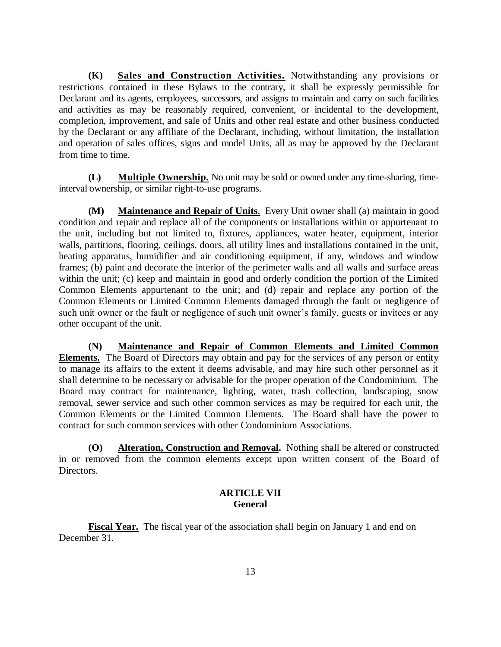**(K) Sales and Construction Activities.** Notwithstanding any provisions or restrictions contained in these Bylaws to the contrary, it shall be expressly permissible for Declarant and its agents, employees, successors, and assigns to maintain and carry on such facilities and activities as may be reasonably required, convenient, or incidental to the development, completion, improvement, and sale of Units and other real estate and other business conducted by the Declarant or any affiliate of the Declarant, including, without limitation, the installation and operation of sales offices, signs and model Units, all as may be approved by the Declarant from time to time.

**(L) Multiple Ownership.** No unit may be sold or owned under any time-sharing, timeinterval ownership, or similar right-to-use programs.

**(M) Maintenance and Repair of Units**. Every Unit owner shall (a) maintain in good condition and repair and replace all of the components or installations within or appurtenant to the unit, including but not limited to, fixtures, appliances, water heater, equipment, interior walls, partitions, flooring, ceilings, doors, all utility lines and installations contained in the unit, heating apparatus, humidifier and air conditioning equipment, if any, windows and window frames; (b) paint and decorate the interior of the perimeter walls and all walls and surface areas within the unit; (c) keep and maintain in good and orderly condition the portion of the Limited Common Elements appurtenant to the unit; and (d) repair and replace any portion of the Common Elements or Limited Common Elements damaged through the fault or negligence of such unit owner or the fault or negligence of such unit owner's family, guests or invitees or any other occupant of the unit.

**(N) Maintenance and Repair of Common Elements and Limited Common Elements.** The Board of Directors may obtain and pay for the services of any person or entity to manage its affairs to the extent it deems advisable, and may hire such other personnel as it shall determine to be necessary or advisable for the proper operation of the Condominium. The Board may contract for maintenance, lighting, water, trash collection, landscaping, snow removal, sewer service and such other common services as may be required for each unit, the Common Elements or the Limited Common Elements. The Board shall have the power to contract for such common services with other Condominium Associations.

**(O) Alteration, Construction and Removal.** Nothing shall be altered or constructed in or removed from the common elements except upon written consent of the Board of Directors.

## **ARTICLE VII General**

**Fiscal Year.** The fiscal year of the association shall begin on January 1 and end on December 31.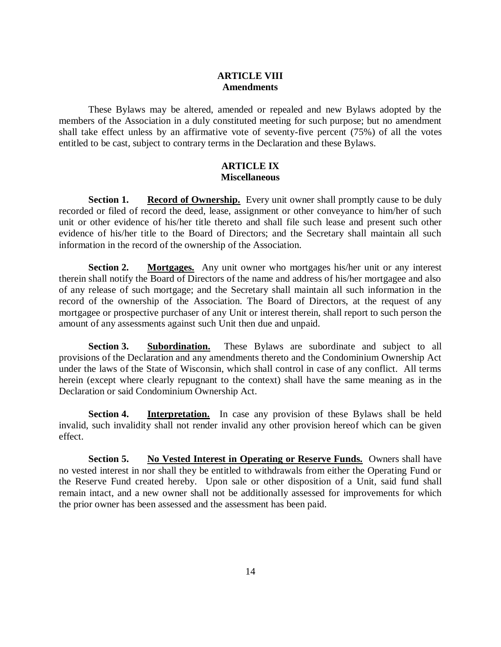## **ARTICLE VIII Amendments**

These Bylaws may be altered, amended or repealed and new Bylaws adopted by the members of the Association in a duly constituted meeting for such purpose; but no amendment shall take effect unless by an affirmative vote of seventy-five percent (75%) of all the votes entitled to be cast, subject to contrary terms in the Declaration and these Bylaws.

## **ARTICLE IX Miscellaneous**

**Section 1. Record of Ownership.** Every unit owner shall promptly cause to be duly recorded or filed of record the deed, lease, assignment or other conveyance to him/her of such unit or other evidence of his/her title thereto and shall file such lease and present such other evidence of his/her title to the Board of Directors; and the Secretary shall maintain all such information in the record of the ownership of the Association.

**Section 2. Mortgages.** Any unit owner who mortgages his/her unit or any interest therein shall notify the Board of Directors of the name and address of his/her mortgagee and also of any release of such mortgage; and the Secretary shall maintain all such information in the record of the ownership of the Association. The Board of Directors, at the request of any mortgagee or prospective purchaser of any Unit or interest therein, shall report to such person the amount of any assessments against such Unit then due and unpaid.

**Section 3. Subordination.** These Bylaws are subordinate and subject to all provisions of the Declaration and any amendments thereto and the Condominium Ownership Act under the laws of the State of Wisconsin, which shall control in case of any conflict. All terms herein (except where clearly repugnant to the context) shall have the same meaning as in the Declaration or said Condominium Ownership Act.

**Section 4. Interpretation.** In case any provision of these Bylaws shall be held invalid, such invalidity shall not render invalid any other provision hereof which can be given effect.

**Section 5. No Vested Interest in Operating or Reserve Funds.** Owners shall have no vested interest in nor shall they be entitled to withdrawals from either the Operating Fund or the Reserve Fund created hereby. Upon sale or other disposition of a Unit, said fund shall remain intact, and a new owner shall not be additionally assessed for improvements for which the prior owner has been assessed and the assessment has been paid.